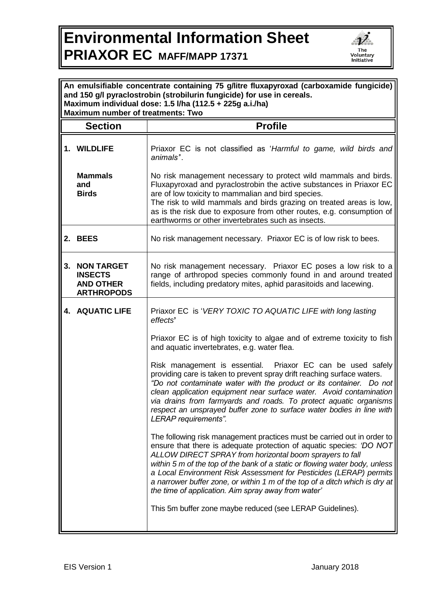## **Environmental Information Sheet PRIAXOR EC MAFF/MAPP 17371**



| An emulsifiable concentrate containing 75 g/litre fluxapyroxad (carboxamide fungicide)<br>and 150 g/l pyraclostrobin (strobilurin fungicide) for use in cereals.<br>Maximum individual dose: 1.5 l/ha (112.5 + 225g a.i./ha)<br><b>Maximum number of treatments: Two</b> |                                                                              |                                                                                                                                                                                                                                                                                                                                                                                                                                                                                                        |  |
|--------------------------------------------------------------------------------------------------------------------------------------------------------------------------------------------------------------------------------------------------------------------------|------------------------------------------------------------------------------|--------------------------------------------------------------------------------------------------------------------------------------------------------------------------------------------------------------------------------------------------------------------------------------------------------------------------------------------------------------------------------------------------------------------------------------------------------------------------------------------------------|--|
|                                                                                                                                                                                                                                                                          | <b>Section</b>                                                               | <b>Profile</b>                                                                                                                                                                                                                                                                                                                                                                                                                                                                                         |  |
|                                                                                                                                                                                                                                                                          | 1. WILDLIFE                                                                  | Priaxor EC is not classified as 'Harmful to game, wild birds and<br>animals".                                                                                                                                                                                                                                                                                                                                                                                                                          |  |
|                                                                                                                                                                                                                                                                          | <b>Mammals</b><br>and<br><b>Birds</b>                                        | No risk management necessary to protect wild mammals and birds.<br>Fluxapyroxad and pyraclostrobin the active substances in Priaxor EC<br>are of low toxicity to mammalian and bird species.<br>The risk to wild mammals and birds grazing on treated areas is low,<br>as is the risk due to exposure from other routes, e.g. consumption of<br>earthworms or other invertebrates such as insects.                                                                                                     |  |
|                                                                                                                                                                                                                                                                          | 2. BEES                                                                      | No risk management necessary. Priaxor EC is of low risk to bees.                                                                                                                                                                                                                                                                                                                                                                                                                                       |  |
| 3.                                                                                                                                                                                                                                                                       | <b>NON TARGET</b><br><b>INSECTS</b><br><b>AND OTHER</b><br><b>ARTHROPODS</b> | No risk management necessary. Priaxor EC poses a low risk to a<br>range of arthropod species commonly found in and around treated<br>fields, including predatory mites, aphid parasitoids and lacewing.                                                                                                                                                                                                                                                                                                |  |
|                                                                                                                                                                                                                                                                          | <b>4. AQUATIC LIFE</b>                                                       | Priaxor EC is 'VERY TOXIC TO AQUATIC LIFE with long lasting<br>effects'                                                                                                                                                                                                                                                                                                                                                                                                                                |  |
|                                                                                                                                                                                                                                                                          |                                                                              | Priaxor EC is of high toxicity to algae and of extreme toxicity to fish<br>and aquatic invertebrates, e.g. water flea.                                                                                                                                                                                                                                                                                                                                                                                 |  |
|                                                                                                                                                                                                                                                                          |                                                                              | Risk management is essential. Priaxor EC can be used safely<br>providing care is taken to prevent spray drift reaching surface waters.<br>"Do not contaminate water with the product or its container. Do not<br>clean application equipment near surface water. Avoid contamination<br>via drains from farmyards and roads. To protect aquatic organisms<br>respect an unsprayed buffer zone to surface water bodies in line with<br>LERAP requirements".                                             |  |
|                                                                                                                                                                                                                                                                          |                                                                              | The following risk management practices must be carried out in order to<br>ensure that there is adequate protection of aquatic species: 'DO NOT<br>ALLOW DIRECT SPRAY from horizontal boom sprayers to fall<br>within 5 m of the top of the bank of a static or flowing water body, unless<br>a Local Environment Risk Assessment for Pesticides (LERAP) permits<br>a narrower buffer zone, or within 1 m of the top of a ditch which is dry at<br>the time of application. Aim spray away from water' |  |
|                                                                                                                                                                                                                                                                          |                                                                              | This 5m buffer zone maybe reduced (see LERAP Guidelines).                                                                                                                                                                                                                                                                                                                                                                                                                                              |  |